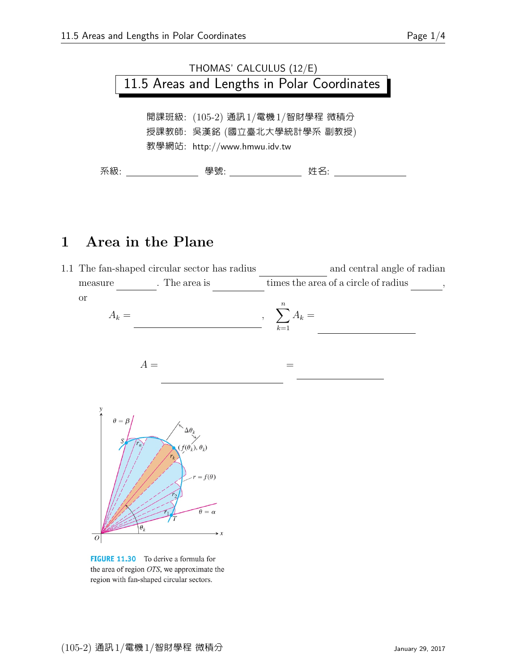

## 1 Area in the Plane





FIGURE 11.30 To derive a formula for the area of region OTS, we approximate the region with fan-shaped circular sectors.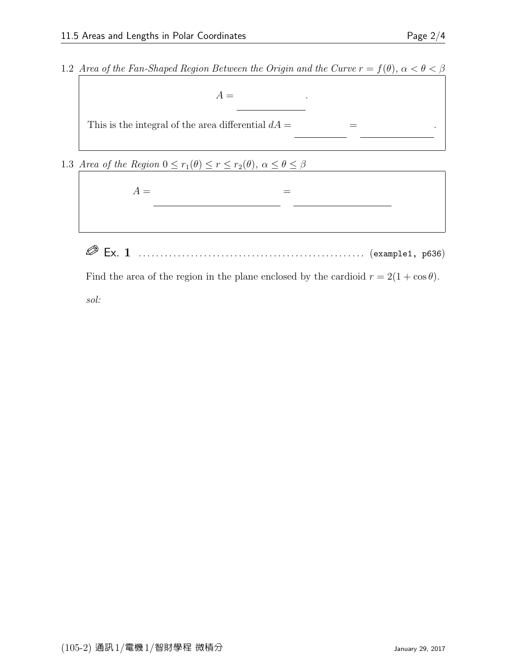1.2 Area of the Fan-Shaped Region Between the Origin and the Curve  $r = f(\theta)$ ,  $\alpha < \theta < \beta$ 

 $A =$ 

This is the integral of the area differential  $dA =$ 2  $=$ 

1.3 Area of the Region  $0 \le r_1(\theta) \le r \le r_2(\theta)$ ,  $\alpha \le \theta \le \beta$ 



 $\mathcal{A}$ 

Ex. 1 . . . . . . . . . . . . . . . . . . . . . . . . . . . . . . . . . . . . . . . . . . . . . . . . . . . . (example1, p636)

Find the area of the region in the plane enclosed by the cardioid  $r = 2(1 + \cos \theta)$ . sol:

 $\mathcal{A}$ 

2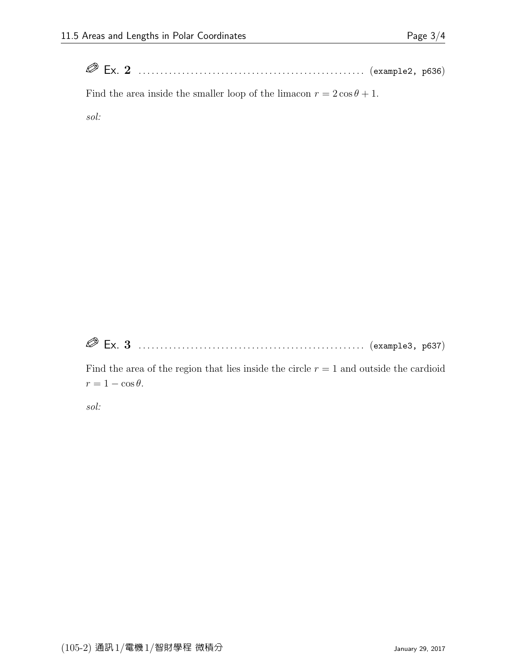| $\mathscr{Q}$ |  |                  |  |
|---------------|--|------------------|--|
|               |  | (example2, p636) |  |

Find the area inside the smaller loop of the limacon  $r = 2\cos\theta + 1$ .

sol:

Ex. 3 . . . . . . . . . . . . . . . . . . . . . . . . . . . . . . . . . . . . . . . . . . . . . . . . . . . . (example3, p637)

Find the area of the region that lies inside the circle  $r = 1$  and outside the cardioid  $r = 1 - \cos \theta$ .

sol: